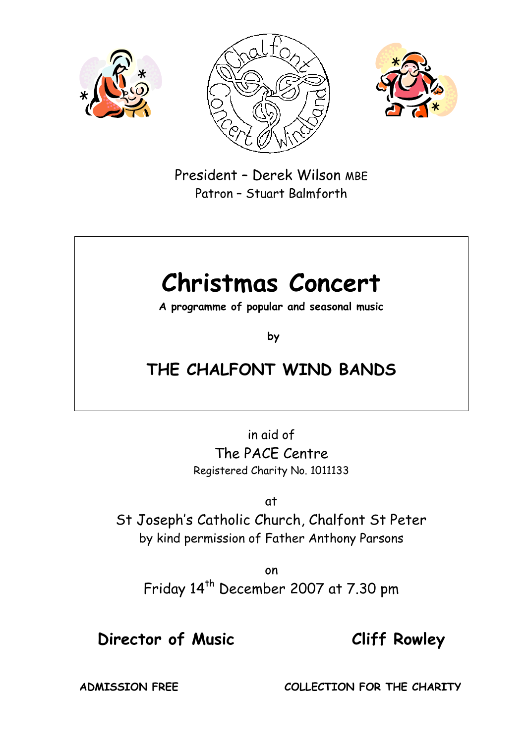





President – Derek Wilson MBE Patron – Stuart Balmforth

# **Christmas Concert**

**A programme of popular and seasonal music**

**by** 

## **THE CHALFONT WIND BANDS**

in aid of The PACE Centre Registered Charity No. 1011133

at

St Joseph's Catholic Church, Chalfont St Peter by kind permission of Father Anthony Parsons

on Friday 14<sup>th</sup> December 2007 at 7.30 pm

## **Director of Music Cliff Rowley**

**ADMISSION FREE COLLECTION FOR THE CHARITY**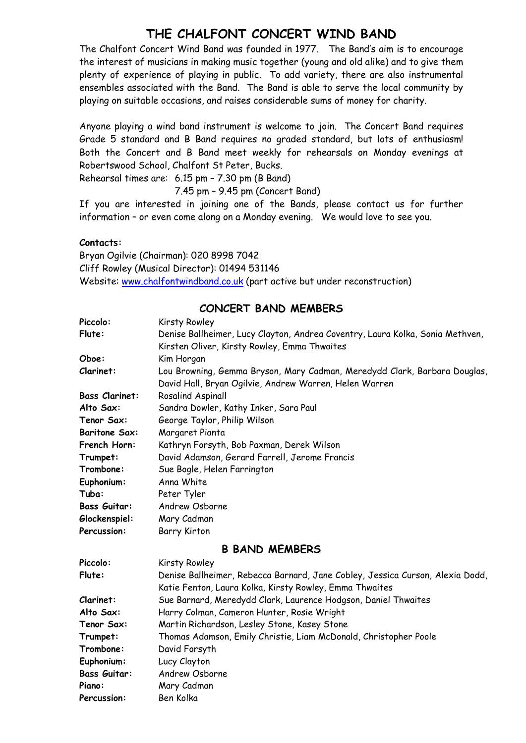## **THE CHALFONT CONCERT WIND BAND**

The Chalfont Concert Wind Band was founded in 1977. The Band's aim is to encourage the interest of musicians in making music together (young and old alike) and to give them plenty of experience of playing in public. To add variety, there are also instrumental ensembles associated with the Band. The Band is able to serve the local community by playing on suitable occasions, and raises considerable sums of money for charity.

Anyone playing a wind band instrument is welcome to join. The Concert Band requires Grade 5 standard and B Band requires no graded standard, but lots of enthusiasm! Both the Concert and B Band meet weekly for rehearsals on Monday evenings at Robertswood School, Chalfont St Peter, Bucks.

Rehearsal times are: 6.15 pm – 7.30 pm (B Band)

7.45 pm – 9.45 pm (Concert Band)

If you are interested in joining one of the Bands, please contact us for further information – or even come along on a Monday evening. We would love to see you.

#### **Contacts:**

Bryan Ogilvie (Chairman): 020 8998 7042 Cliff Rowley (Musical Director): 01494 531146 Website: [www.chalfontwindband.co.uk](http://www.chalfontwindband.co.uk/) (part active but under reconstruction)

#### **CONCERT BAND MEMBERS**

| Piccolo:              | Kirsty Rowley                                                                 |
|-----------------------|-------------------------------------------------------------------------------|
| Flute:                | Denise Ballheimer, Lucy Clayton, Andrea Coventry, Laura Kolka, Sonia Methven, |
|                       | Kirsten Oliver, Kirsty Rowley, Emma Thwaites                                  |
| Oboe:                 | Kim Horgan                                                                    |
| Clarinet:             | Lou Browning, Gemma Bryson, Mary Cadman, Meredydd Clark, Barbara Douglas,     |
|                       | David Hall, Bryan Ogilvie, Andrew Warren, Helen Warren                        |
| <b>Bass Clarinet:</b> | Rosalind Aspinall                                                             |
| Alto Sax:             | Sandra Dowler, Kathy Inker, Sara Paul                                         |
| Tenor Sax:            | George Taylor, Philip Wilson                                                  |
| <b>Baritone Sax:</b>  | Margaret Pianta                                                               |
| French Horn:          | Kathryn Forsyth, Bob Paxman, Derek Wilson                                     |
| Trumpet:              | David Adamson, Gerard Farrell, Jerome Francis                                 |
| Trombone:             | Sue Bogle, Helen Farrington                                                   |
| Euphonium:            | Anna White                                                                    |
| Tuba:                 | Peter Tyler                                                                   |
| <b>Bass Guitar:</b>   | Andrew Osborne                                                                |
| Glockenspiel:         | Mary Cadman                                                                   |
| Percussion:           | <b>Barry Kirton</b>                                                           |
|                       | <b>B BAND MEMBERS</b>                                                         |
| Piccolo:              | Kirsty Rowley                                                                 |
| Flute:                | Denise Ballheimer, Rebecca Barnard, Jane Cobley, Jessica Curson, Alexia Dodd, |
|                       | Katie Fenton, Laura Kolka, Kirsty Rowley, Emma Thwaites                       |
| Clarinet:             | Sue Barnard, Meredydd Clark, Laurence Hodgson, Daniel Thwaites                |
| Alto Sax:             | Harry Colman, Cameron Hunter, Rosie Wright                                    |
| Tenor Sax:            | Martin Richardson, Lesley Stone, Kasey Stone                                  |
| Trumpet:              | Thomas Adamson, Emily Christie, Liam McDonald, Christopher Poole              |
| Trombone:             | David Forsyth                                                                 |
| Euphonium:            | Lucy Clayton                                                                  |
| <b>Bass Guitar:</b>   | Andrew Osborne                                                                |
| Piano:                | Mary Cadman                                                                   |
| Percussion:           | Ben Kolka                                                                     |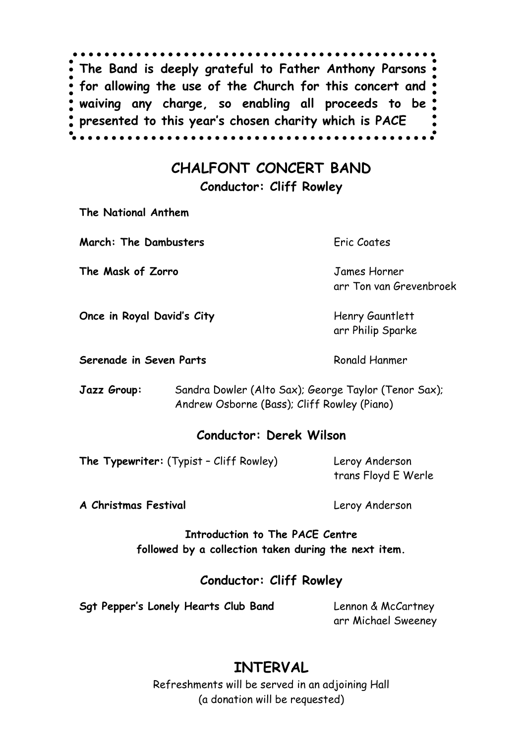**The Band is deeply grateful to Father Anthony Parsons for allowing the use of the Church for this concert and waiving any charge, so enabling all proceeds to be presented to this year's chosen charity which is PACE**

## **CHALFONT CONCERT BAND**

**Conductor: Cliff Rowley**

**The National Anthem**

**March: The Dambusters** Eric Coates

**The Mask of Zorro** James Horner

arr Ton van Grevenbroek

**Once in Royal David's City** Henry Gauntlett

**Serenade in Seven Parts** Ronald Hanmer

arr Philip Sparke

**Jazz Group:** Sandra Dowler (Alto Sax); George Taylor (Tenor Sax); Andrew Osborne (Bass); Cliff Rowley (Piano)

#### **Conductor: Derek Wilson**

**The Typewriter:** (Typist - Cliff Rowley) Leroy Anderson

trans Floyd E Werle

**A Christmas Festival** Leroy Anderson

**Introduction to The PACE Centre followed by a collection taken during the next item.**

#### **Conductor: Cliff Rowley**

**Sgt Pepper's Lonely Hearts Club Band** Lennon & McCartney

arr Michael Sweeney

## **INTERVAL**

Refreshments will be served in an adjoining Hall (a donation will be requested)